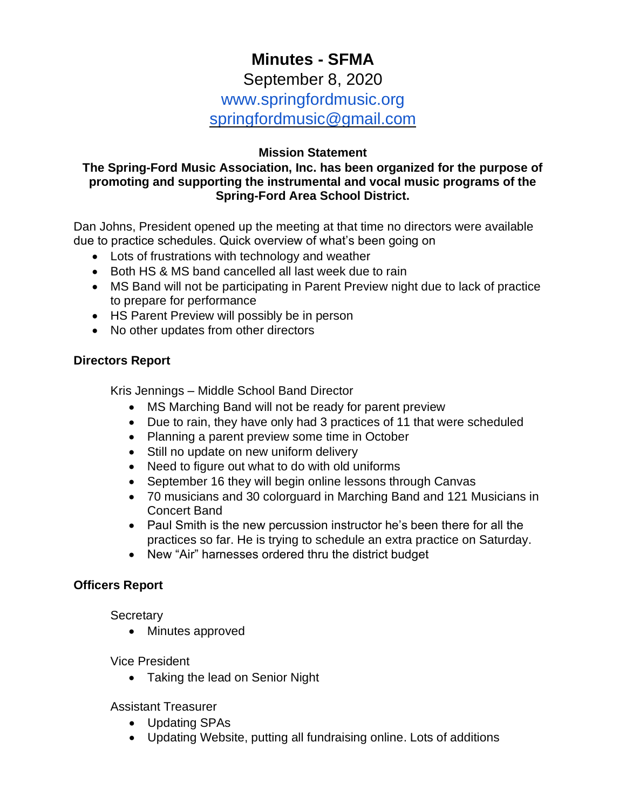# **Minutes - SFMA**

## September 8, 2020 www.springfordmusic.org [springfordmusic@gmail.com](mailto:springfordmusic@gmail.com)

#### **Mission Statement**

#### **The Spring-Ford Music Association, Inc. has been organized for the purpose of promoting and supporting the instrumental and vocal music programs of the Spring-Ford Area School District.**

Dan Johns, President opened up the meeting at that time no directors were available due to practice schedules. Quick overview of what's been going on

- Lots of frustrations with technology and weather
- Both HS & MS band cancelled all last week due to rain
- MS Band will not be participating in Parent Preview night due to lack of practice to prepare for performance
- HS Parent Preview will possibly be in person
- No other updates from other directors

#### **Directors Report**

Kris Jennings – Middle School Band Director

- MS Marching Band will not be ready for parent preview
- Due to rain, they have only had 3 practices of 11 that were scheduled
- Planning a parent preview some time in October
- Still no update on new uniform delivery
- Need to figure out what to do with old uniforms
- September 16 they will begin online lessons through Canvas
- 70 musicians and 30 colorguard in Marching Band and 121 Musicians in Concert Band
- Paul Smith is the new percussion instructor he's been there for all the practices so far. He is trying to schedule an extra practice on Saturday.
- New "Air" harnesses ordered thru the district budget

## **Officers Report**

**Secretary** 

• Minutes approved

Vice President

• Taking the lead on Senior Night

#### Assistant Treasurer

- Updating SPAs
- Updating Website, putting all fundraising online. Lots of additions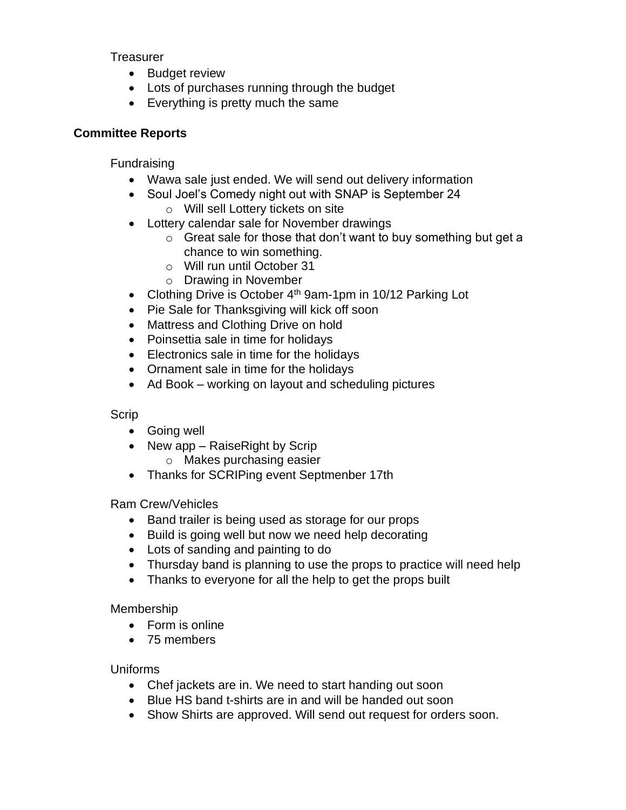**Treasurer** 

- Budget review
- Lots of purchases running through the budget
- Everything is pretty much the same

## **Committee Reports**

Fundraising

- Wawa sale just ended. We will send out delivery information
- Soul Joel's Comedy night out with SNAP is September 24
	- o Will sell Lottery tickets on site
- Lottery calendar sale for November drawings
	- o Great sale for those that don't want to buy something but get a chance to win something.
	- o Will run until October 31
	- o Drawing in November
- Clothing Drive is October  $4<sup>th</sup>$  9am-1pm in 10/12 Parking Lot
- Pie Sale for Thanksgiving will kick off soon
- Mattress and Clothing Drive on hold
- Poinsettia sale in time for holidays
- Electronics sale in time for the holidays
- Ornament sale in time for the holidays
- Ad Book working on layout and scheduling pictures

## Scrip

- Going well
- New app RaiseRight by Scrip
	- o Makes purchasing easier
- Thanks for SCRIPing event Septmenber 17th

Ram Crew/Vehicles

- Band trailer is being used as storage for our props
- Build is going well but now we need help decorating
- Lots of sanding and painting to do
- Thursday band is planning to use the props to practice will need help
- Thanks to everyone for all the help to get the props built

Membership

- Form is online
- 75 members

Uniforms

- Chef jackets are in. We need to start handing out soon
- Blue HS band t-shirts are in and will be handed out soon
- Show Shirts are approved. Will send out request for orders soon.